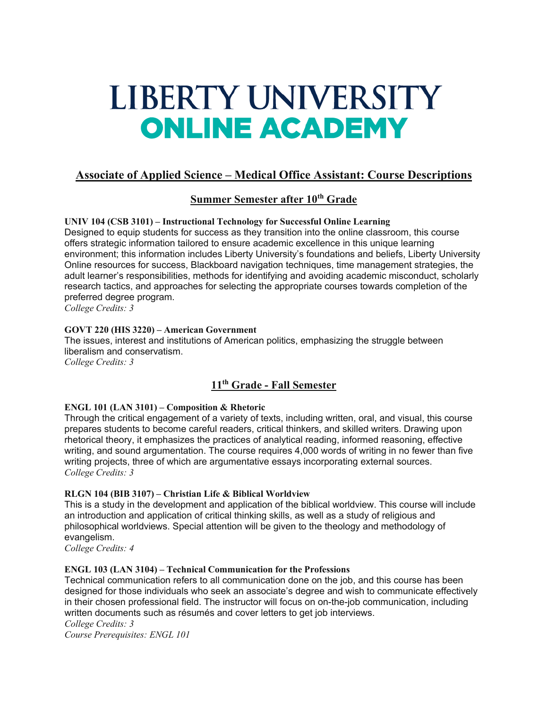# LIBERTY UNIVERSITY **ONLINE ACADEMY**

# **Associate of Applied Science – Medical Office Assistant: Course Descriptions**

# **Summer Semester after 10th Grade**

**UNIV 104 (CSB 3101) – Instructional Technology for Successful Online Learning** Designed to equip students for success as they transition into the online classroom, this course offers strategic information tailored to ensure academic excellence in this unique learning environment; this information includes Liberty University's foundations and beliefs, Liberty University Online resources for success, Blackboard navigation techniques, time management strategies, the adult learner's responsibilities, methods for identifying and avoiding academic misconduct, scholarly research tactics, and approaches for selecting the appropriate courses towards completion of the preferred degree program.

*College Credits: 3*

# **GOVT 220 (HIS 3220) – American Government**

The issues, interest and institutions of American politics, emphasizing the struggle between liberalism and conservatism.

*College Credits: 3*

# **11th Grade - Fall Semester**

# **ENGL 101 (LAN 3101) – Composition & Rhetoric**

Through the critical engagement of a variety of texts, including written, oral, and visual, this course prepares students to become careful readers, critical thinkers, and skilled writers. Drawing upon rhetorical theory, it emphasizes the practices of analytical reading, informed reasoning, effective writing, and sound argumentation. The course requires 4,000 words of writing in no fewer than five writing projects, three of which are argumentative essays incorporating external sources. *College Credits: 3*

# **RLGN 104 (BIB 3107) – Christian Life & Biblical Worldview**

This is a study in the development and application of the biblical worldview. This course will include an introduction and application of critical thinking skills, as well as a study of religious and philosophical worldviews. Special attention will be given to the theology and methodology of evangelism.

*College Credits: 4*

# **ENGL 103 (LAN 3104) – Technical Communication for the Professions**

Technical communication refers to all communication done on the job, and this course has been designed for those individuals who seek an associate's degree and wish to communicate effectively in their chosen professional field. The instructor will focus on on-the-job communication, including written documents such as résumés and cover letters to get job interviews.

*College Credits: 3 Course Prerequisites: ENGL 101*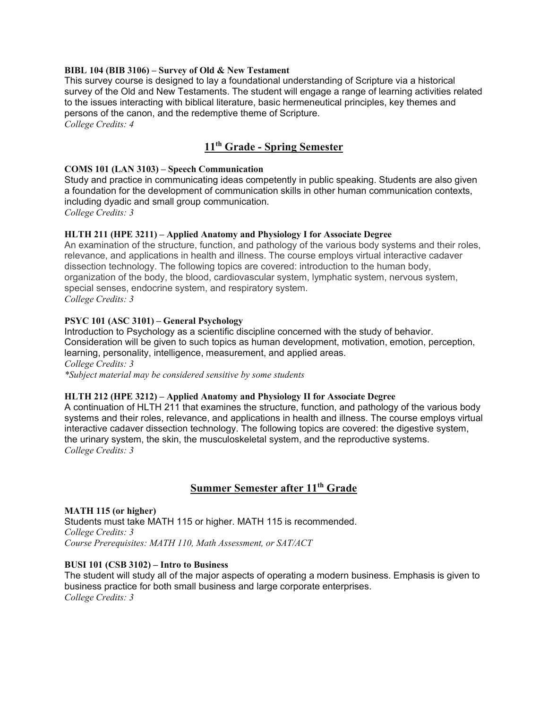#### **BIBL 104 (BIB 3106) – Survey of Old & New Testament**

This survey course is designed to lay a foundational understanding of Scripture via a historical survey of the Old and New Testaments. The student will engage a range of learning activities related to the issues interacting with biblical literature, basic hermeneutical principles, key themes and persons of the canon, and the redemptive theme of Scripture.

*College Credits: 4*

# **11th Grade - Spring Semester**

#### **COMS 101 (LAN 3103) – Speech Communication**

Study and practice in communicating ideas competently in public speaking. Students are also given a foundation for the development of communication skills in other human communication contexts, including dyadic and small group communication. *College Credits: 3*

## **HLTH 211 (HPE 3211) – Applied Anatomy and Physiology I for Associate Degree**

An examination of the structure, function, and pathology of the various body systems and their roles, relevance, and applications in health and illness. The course employs virtual interactive cadaver dissection technology. The following topics are covered: introduction to the human body, organization of the body, the blood, cardiovascular system, lymphatic system, nervous system, special senses, endocrine system, and respiratory system. *College Credits: 3*

## **PSYC 101 (ASC 3101) – General Psychology**

Introduction to Psychology as a scientific discipline concerned with the study of behavior. Consideration will be given to such topics as human development, motivation, emotion, perception, learning, personality, intelligence, measurement, and applied areas. *College Credits: 3 \*Subject material may be considered sensitive by some students*

#### **HLTH 212 (HPE 3212) – Applied Anatomy and Physiology II for Associate Degree**

A continuation of HLTH 211 that examines the structure, function, and pathology of the various body systems and their roles, relevance, and applications in health and illness. The course employs virtual interactive cadaver dissection technology. The following topics are covered: the digestive system, the urinary system, the skin, the musculoskeletal system, and the reproductive systems. *College Credits: 3*

# **Summer Semester after 11th Grade**

**MATH 115 (or higher)** Students must take MATH 115 or higher. MATH 115 is recommended. *College Credits: 3 Course Prerequisites: MATH 110, Math Assessment, or SAT/ACT*

#### **BUSI 101 (CSB 3102) – Intro to Business**

The student will study all of the major aspects of operating a modern business. Emphasis is given to business practice for both small business and large corporate enterprises. *College Credits: 3*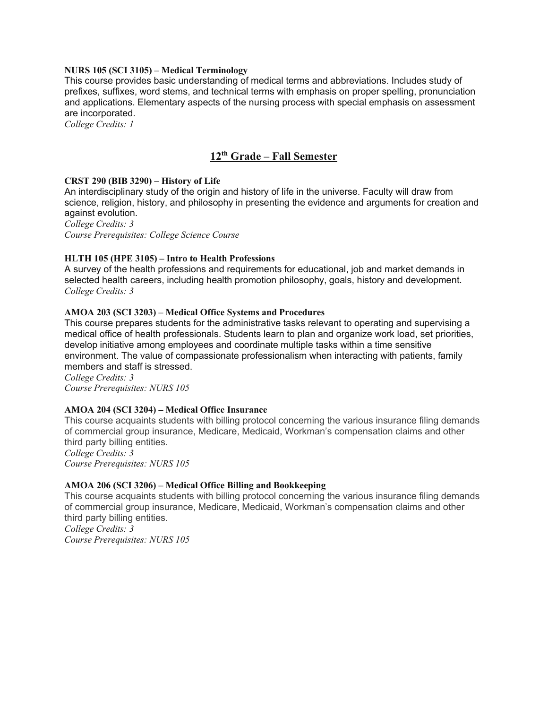#### **NURS 105 (SCI 3105) – Medical Terminology**

This course provides basic understanding of medical terms and abbreviations. Includes study of prefixes, suffixes, word stems, and technical terms with emphasis on proper spelling, pronunciation and applications. Elementary aspects of the nursing process with special emphasis on assessment are incorporated.

*College Credits: 1*

# **12th Grade – Fall Semester**

## **CRST 290 (BIB 3290) – History of Life**

An interdisciplinary study of the origin and history of life in the universe. Faculty will draw from science, religion, history, and philosophy in presenting the evidence and arguments for creation and against evolution.

*College Credits: 3*

*Course Prerequisites: College Science Course*

# **HLTH 105 (HPE 3105) – Intro to Health Professions**

A survey of the health professions and requirements for educational, job and market demands in selected health careers, including health promotion philosophy, goals, history and development. *College Credits: 3*

## **AMOA 203 (SCI 3203) – Medical Office Systems and Procedures**

This course prepares students for the administrative tasks relevant to operating and supervising a medical office of health professionals. Students learn to plan and organize work load, set priorities, develop initiative among employees and coordinate multiple tasks within a time sensitive environment. The value of compassionate professionalism when interacting with patients, family members and staff is stressed.

*College Credits: 3 Course Prerequisites: NURS 105*

# **AMOA 204 (SCI 3204) – Medical Office Insurance**

This course acquaints students with billing protocol concerning the various insurance filing demands of commercial group insurance, Medicare, Medicaid, Workman's compensation claims and other third party billing entities. *College Credits: 3 Course Prerequisites: NURS 105*

#### **AMOA 206 (SCI 3206) – Medical Office Billing and Bookkeeping**

This course acquaints students with billing protocol concerning the various insurance filing demands of commercial group insurance, Medicare, Medicaid, Workman's compensation claims and other third party billing entities. *College Credits: 3 Course Prerequisites: NURS 105*